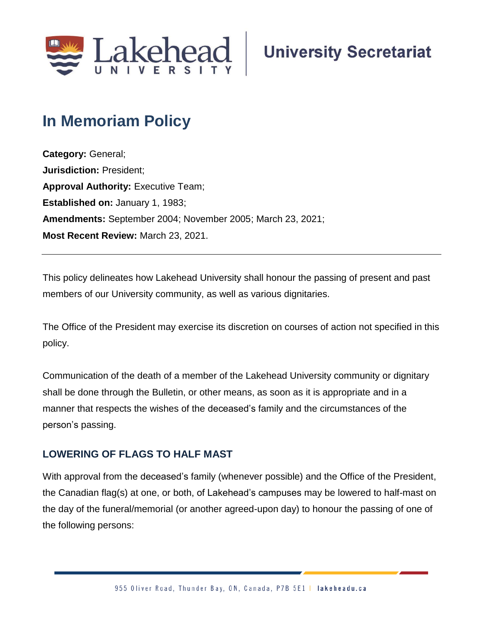

# **In Memoriam Policy**

**Category:** General; **Jurisdiction:** President; **Approval Authority: Executive Team; Established on:** January 1, 1983; **Amendments:** September 2004; November 2005; March 23, 2021; **Most Recent Review:** March 23, 2021.

This policy delineates how Lakehead University shall honour the passing of present and past members of our University community, as well as various dignitaries.

The Office of the President may exercise its discretion on courses of action not specified in this policy.

Communication of the death of a member of the Lakehead University community or dignitary shall be done through the Bulletin, or other means, as soon as it is appropriate and in a manner that respects the wishes of the deceased's family and the circumstances of the person's passing.

## **LOWERING OF FLAGS TO HALF MAST**

With approval from the deceased's family (whenever possible) and the Office of the President, the Canadian flag(s) at one, or both, of Lakehead's campuses may be lowered to half-mast on the day of the funeral/memorial (or another agreed-upon day) to honour the passing of one of the following persons: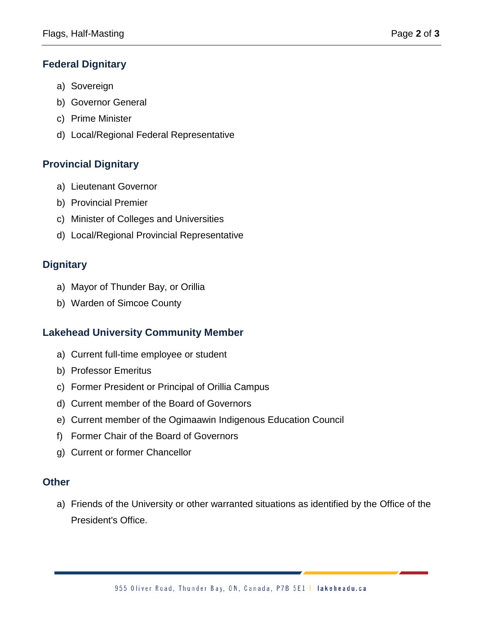## **Federal Dignitary**

- a) Sovereign
- b) Governor General
- c) Prime Minister
- d) Local/Regional Federal Representative

## **Provincial Dignitary**

- a) Lieutenant Governor
- b) Provincial Premier
- c) Minister of Colleges and Universities
- d) Local/Regional Provincial Representative

## **Dignitary**

- a) Mayor of Thunder Bay, or Orillia
- b) Warden of Simcoe County

## **Lakehead University Community Member**

- a) Current full-time employee or student
- b) Professor Emeritus
- c) Former President or Principal of Orillia Campus
- d) Current member of the Board of Governors
- e) Current member of the Ogimaawin Indigenous Education Council
- f) Former Chair of the Board of Governors
- g) Current or former Chancellor

## **Other**

a) Friends of the University or other warranted situations as identified by the Office of the President's Office.